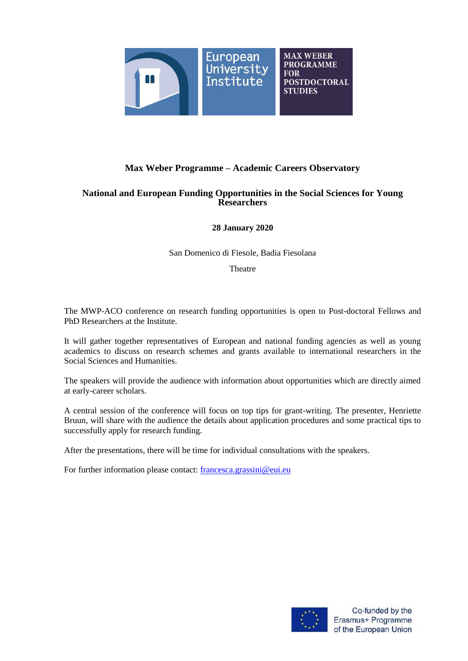

# **Max Weber Programme – Academic Careers Observatory**

## **National and European Funding Opportunities in the Social Sciences for Young Researchers**

## **28 January 2020**

San Domenico di Fiesole, Badia Fiesolana

Theatre

The MWP-ACO conference on research funding opportunities is open to Post-doctoral Fellows and PhD Researchers at the Institute.

It will gather together representatives of European and national funding agencies as well as young academics to discuss on research schemes and grants available to international researchers in the Social Sciences and Humanities.

The speakers will provide the audience with information about opportunities which are directly aimed at early-career scholars.

A central session of the conference will focus on top tips for grant-writing. The presenter, Henriette Bruun, will share with the audience the details about application procedures and some practical tips to successfully apply for research funding.

After the presentations, there will be time for individual consultations with the speakers.

For further information please contact: [francesca.grassini@eui.eu](mailto:francesca.grassini@eui.eu)

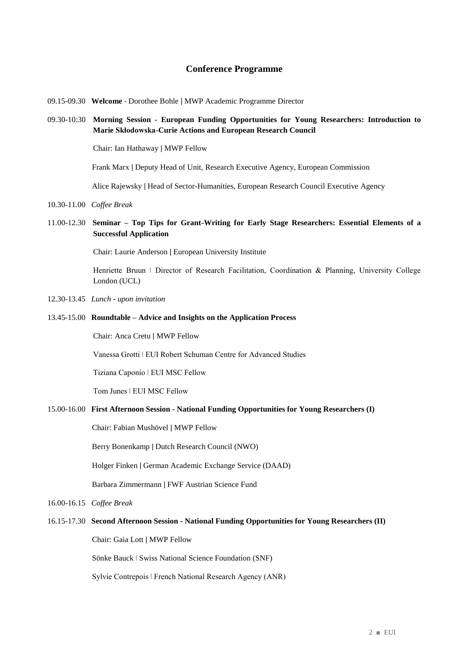### **Conference Programme**

- 09.15-09.30 **Welcome** Dorothee Bohle ǀ MWP Academic Programme Director
- 09.30-10:30 **Morning Session - European Funding Opportunities for Young Researchers: Introduction to Marie Skłodowska-Curie Actions and European Research Council**

Chair: Ian Hathaway ǀ MWP Fellow

Frank Marx ǀ Deputy Head of Unit, Research Executive Agency, European Commission

Alice Rajewsky ǀ Head of Sector-Humanities, European Research Council Executive Agency

- 10.30-11.00 *Coffee Break*
- 11.00-12.30 **Seminar – Top Tips for Grant-Writing for Early Stage Researchers: Essential Elements of a Successful Application**

Chair: Laurie Anderson ǀ European University Institute

Henriette Bruun | Director of Research Facilitation, Coordination & Planning, University College London (UCL)

- 12.30-13.45 *Lunch* **-** *upon invitation*
- 13.45-15.00 **Roundtable – Advice and Insights on the Application Process**

Chair: Anca Cretu ǀ MWP Fellow

Vanessa Grotti ǀ EUI Robert Schuman Centre for Advanced Studies

Tiziana Caponio ǀ EUI MSC Fellow

Tom Junes ǀ EUI MSC Fellow

#### 15.00-16.00 **First Afternoon Session - National Funding Opportunities for Young Researchers (I)**

Chair: Fabian Mushövel ǀ MWP Fellow

Berry Bonenkamp ǀ Dutch Research Council (NWO)

Holger Finken ǀ German Academic Exchange Service (DAAD)

Barbara Zimmermann ǀ FWF Austrian Science Fund

16.00-16.15*Coffee Break*

### 16.15-17.30 **Second Afternoon Session - National Funding Opportunities for Young Researchers (II)**

Chair: Gaia Lott ǀ MWP Fellow

Sönke Bauck ǀ Swiss National Science Foundation (SNF)

Sylvie Contrepois ǀ French National Research Agency (ANR)